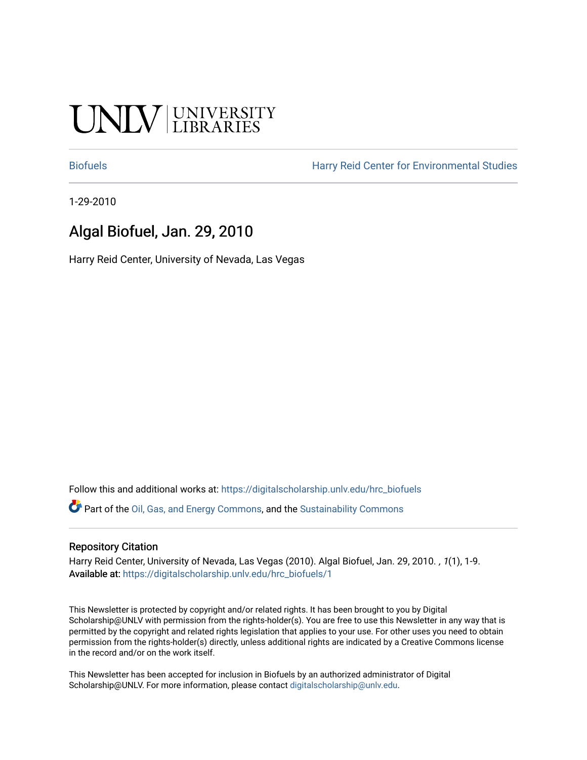# UNIV UNIVERSITY

[Biofuels](https://digitalscholarship.unlv.edu/hrc_biofuels) [Harry Reid Center for Environmental Studies](https://digitalscholarship.unlv.edu/hrc) 

1-29-2010

# Algal Biofuel, Jan. 29, 2010

Harry Reid Center, University of Nevada, Las Vegas

Follow this and additional works at: [https://digitalscholarship.unlv.edu/hrc\\_biofuels](https://digitalscholarship.unlv.edu/hrc_biofuels?utm_source=digitalscholarship.unlv.edu%2Fhrc_biofuels%2F1&utm_medium=PDF&utm_campaign=PDFCoverPages) 

Part of the [Oil, Gas, and Energy Commons](http://network.bepress.com/hgg/discipline/171?utm_source=digitalscholarship.unlv.edu%2Fhrc_biofuels%2F1&utm_medium=PDF&utm_campaign=PDFCoverPages), and the [Sustainability Commons](http://network.bepress.com/hgg/discipline/1031?utm_source=digitalscholarship.unlv.edu%2Fhrc_biofuels%2F1&utm_medium=PDF&utm_campaign=PDFCoverPages)

#### Repository Citation

Harry Reid Center, University of Nevada, Las Vegas (2010). Algal Biofuel, Jan. 29, 2010. , 1(1), 1-9. Available at: [https://digitalscholarship.unlv.edu/hrc\\_biofuels/1](https://digitalscholarship.unlv.edu/hrc_biofuels/1) 

This Newsletter is protected by copyright and/or related rights. It has been brought to you by Digital Scholarship@UNLV with permission from the rights-holder(s). You are free to use this Newsletter in any way that is permitted by the copyright and related rights legislation that applies to your use. For other uses you need to obtain permission from the rights-holder(s) directly, unless additional rights are indicated by a Creative Commons license in the record and/or on the work itself.

This Newsletter has been accepted for inclusion in Biofuels by an authorized administrator of Digital Scholarship@UNLV. For more information, please contact [digitalscholarship@unlv.edu.](mailto:digitalscholarship@unlv.edu)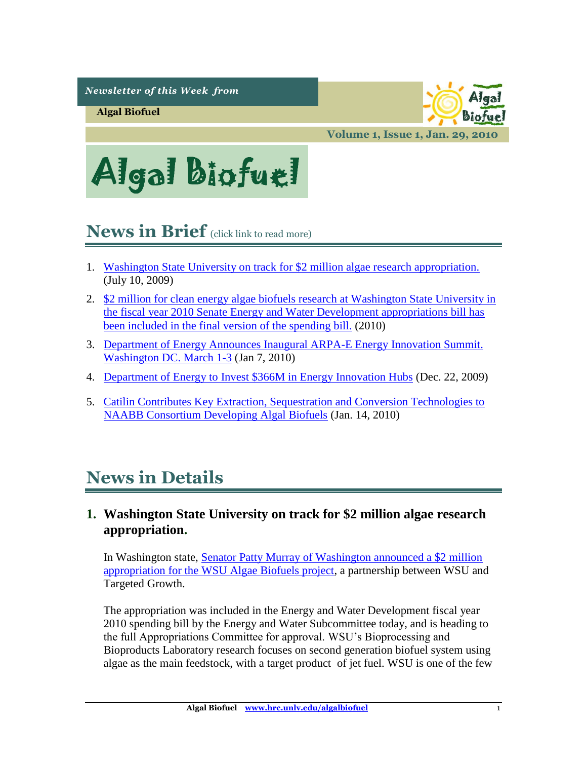*Newsletter of this Week from* 

**Algal Biofuel**



**Volume 1, Issue 1, Jan. 29, 2010**



# <span id="page-1-1"></span>**News in Brief** (click link to read more)

- 1. [Washington State University on track for \\$2 million algae research appropriation.](#page-1-0)  (July 10, 2009)
- 2. \$2 million for clean energy algae biofuels research at Washington State University in [the fiscal year 2010 Senate Energy and Water Development appropriations bill has](#page-2-0)  [been included in the final version of the spending bill.](#page-2-0) (2010)
- 3. [Department of Energy Announces Inaugural ARPA-E Energy Innovation Summit.](#page-3-0)  [Washington DC. March 1-3](#page-3-0) (Jan 7, 2010)
- 4. [Department of Energy to Invest \\$366M in Energy Innovation Hubs](#page-4-0) (Dec. 22, 2009)
- 5. [Catilin Contributes Key Extraction, Sequestration and Conversion Technologies to](#page-7-0)  [NAABB Consortium Developing Algal Biofuels](#page-7-0) (Jan. 14, 2010)

# **News in Details**

## <span id="page-1-0"></span>**1. Washington State University on track for \$2 million algae research appropriation.**

In Washington state, [Senator Patty Murray of Washington announced a \\$2 million](http://www.bsyse.wsu.edu/bbel/Main/Research/Biodiesel.html)  [appropriation for the WSU Algae Biofuels project,](http://www.bsyse.wsu.edu/bbel/Main/Research/Biodiesel.html) a partnership between WSU and Targeted Growth.

The appropriation was included in the Energy and Water Development fiscal year 2010 spending bill by the Energy and Water Subcommittee today, and is heading to the full Appropriations Committee for approval. WSU's Bioprocessing and Bioproducts Laboratory research focuses on second generation biofuel system using algae as the main feedstock, with a target product of jet fuel. WSU is one of the few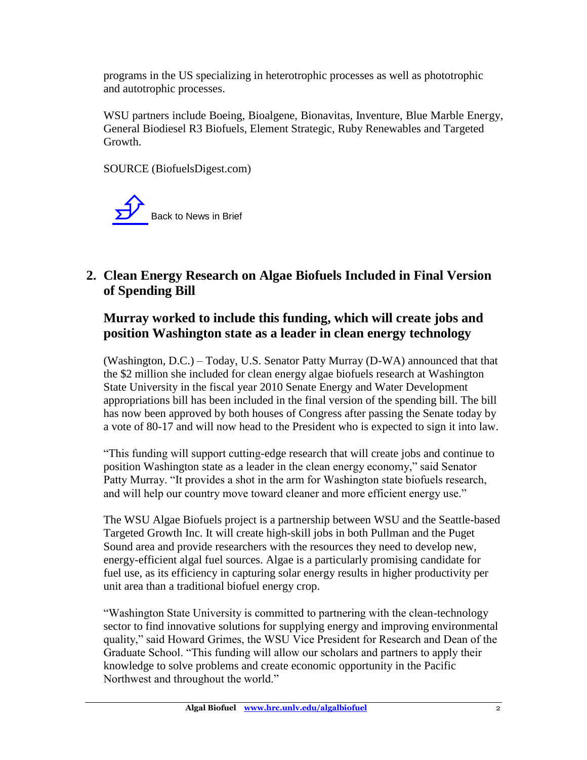programs in the US specializing in heterotrophic processes as well as phototrophic and autotrophic processes.

WSU partners include Boeing, Bioalgene, Bionavitas, Inventure, Blue Marble Energy, General Biodiesel R3 Biofuels, Element Strategic, Ruby Renewables and Targeted Growth.

SOURCE (BiofuelsDigest.com)



# <span id="page-2-0"></span>**2. Clean Energy Research on Algae Biofuels Included in Final Version of Spending Bill**

### **Murray worked to include this funding, which will create jobs and position Washington state as a leader in clean energy technology**

(Washington, D.C.) – Today, U.S. Senator Patty Murray (D-WA) announced that that the \$2 million she included for clean energy algae biofuels research at Washington State University in the fiscal year 2010 Senate Energy and Water Development appropriations bill has been included in the final version of the spending bill. The bill has now been approved by both houses of Congress after passing the Senate today by a vote of 80-17 and will now head to the President who is expected to sign it into law.

"This funding will support cutting-edge research that will create jobs and continue to position Washington state as a leader in the clean energy economy," said Senator Patty Murray. "It provides a shot in the arm for Washington state biofuels research, and will help our country move toward cleaner and more efficient energy use."

The WSU Algae Biofuels project is a partnership between WSU and the Seattle-based Targeted Growth Inc. It will create high-skill jobs in both Pullman and the Puget Sound area and provide researchers with the resources they need to develop new, energy-efficient algal fuel sources. Algae is a particularly promising candidate for fuel use, as its efficiency in capturing solar energy results in higher productivity per unit area than a traditional biofuel energy crop.

"Washington State University is committed to partnering with the clean-technology sector to find innovative solutions for supplying energy and improving environmental quality," said Howard Grimes, the WSU Vice President for Research and Dean of the Graduate School. "This funding will allow our scholars and partners to apply their knowledge to solve problems and create economic opportunity in the Pacific Northwest and throughout the world."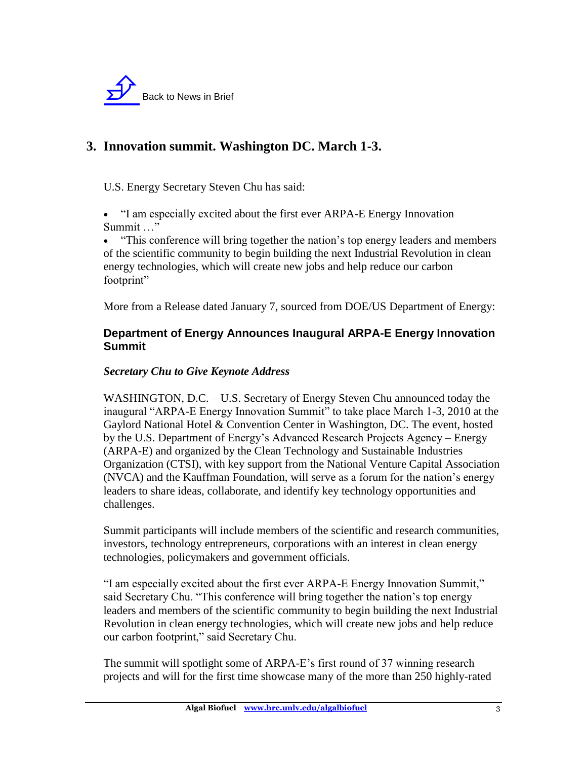

# <span id="page-3-0"></span>**3. Innovation summit. Washington DC. March 1-3.**

U.S. Energy Secretary Steven Chu has said:

 "I am especially excited about the first ever ARPA-E Energy Innovation Summit …"

 "This conference will bring together the nation's top energy leaders and members of the scientific community to begin building the next Industrial Revolution in clean energy technologies, which will create new jobs and help reduce our carbon footprint"

More from a Release dated January 7, sourced from DOE/US Department of Energy:

#### **Department of Energy Announces Inaugural ARPA-E Energy Innovation Summit**

#### *Secretary Chu to Give Keynote Address*

WASHINGTON, D.C. – U.S. Secretary of Energy Steven Chu announced today the inaugural "ARPA-E Energy Innovation Summit" to take place March 1-3, 2010 at the Gaylord National Hotel & Convention Center in Washington, DC. The event, hosted by the U.S. Department of Energy's Advanced Research Projects Agency – Energy (ARPA-E) and organized by the Clean Technology and Sustainable Industries Organization (CTSI), with key support from the National Venture Capital Association (NVCA) and the Kauffman Foundation, will serve as a forum for the nation's energy leaders to share ideas, collaborate, and identify key technology opportunities and challenges.

Summit participants will include members of the scientific and research communities, investors, technology entrepreneurs, corporations with an interest in clean energy technologies, policymakers and government officials.

"I am especially excited about the first ever ARPA-E Energy Innovation Summit," said Secretary Chu. "This conference will bring together the nation's top energy leaders and members of the scientific community to begin building the next Industrial Revolution in clean energy technologies, which will create new jobs and help reduce our carbon footprint," said Secretary Chu.

The summit will spotlight some of ARPA-E's first round of 37 winning research projects and will for the first time showcase many of the more than 250 highly-rated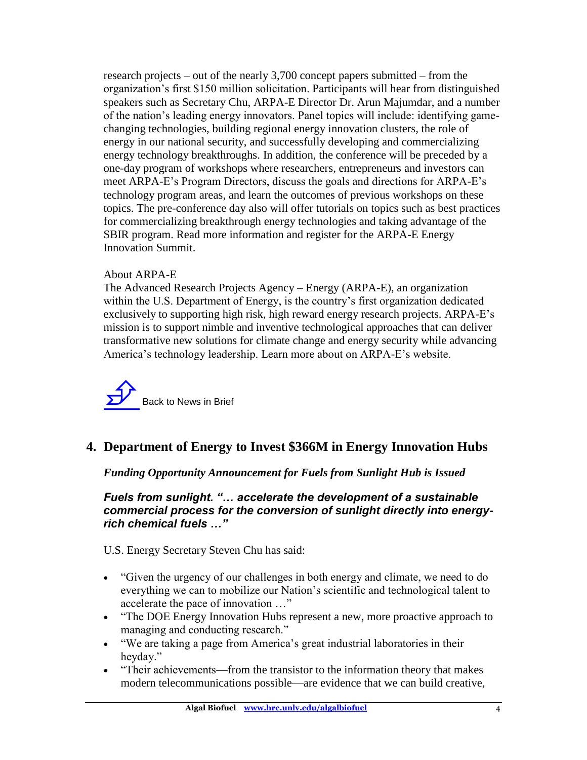research projects – out of the nearly 3,700 concept papers submitted – from the organization's first \$150 million solicitation. Participants will hear from distinguished speakers such as Secretary Chu, ARPA-E Director Dr. Arun Majumdar, and a number of the nation's leading energy innovators. Panel topics will include: identifying gamechanging technologies, building regional energy innovation clusters, the role of energy in our national security, and successfully developing and commercializing energy technology breakthroughs. In addition, the conference will be preceded by a one-day program of workshops where researchers, entrepreneurs and investors can meet ARPA-E's Program Directors, discuss the goals and directions for ARPA-E's technology program areas, and learn the outcomes of previous workshops on these topics. The pre-conference day also will offer tutorials on topics such as best practices for commercializing breakthrough energy technologies and taking advantage of the SBIR program. Read more information and register for the ARPA-E Energy Innovation Summit.

#### About ARPA-E

The Advanced Research Projects Agency – Energy (ARPA-E), an organization within the U.S. Department of Energy, is the country's first organization dedicated exclusively to supporting high risk, high reward energy research projects. ARPA-E's mission is to support nimble and inventive technological approaches that can deliver transformative new solutions for climate change and energy security while advancing America's technology leadership. Learn more about on ARPA-E's website.



## <span id="page-4-0"></span>**4. Department of Energy to Invest \$366M in Energy Innovation Hubs**

*Funding Opportunity Announcement for Fuels from Sunlight Hub is Issued*

*Fuels from sunlight. "… accelerate the development of a sustainable commercial process for the conversion of sunlight directly into energyrich chemical fuels …"*

U.S. Energy Secretary Steven Chu has said:

- "Given the urgency of our challenges in both energy and climate, we need to do everything we can to mobilize our Nation's scientific and technological talent to accelerate the pace of innovation …"
- "The DOE Energy Innovation Hubs represent a new, more proactive approach to managing and conducting research."
- "We are taking a page from America's great industrial laboratories in their heyday."
- "Their achievements—from the transistor to the information theory that makes modern telecommunications possible—are evidence that we can build creative,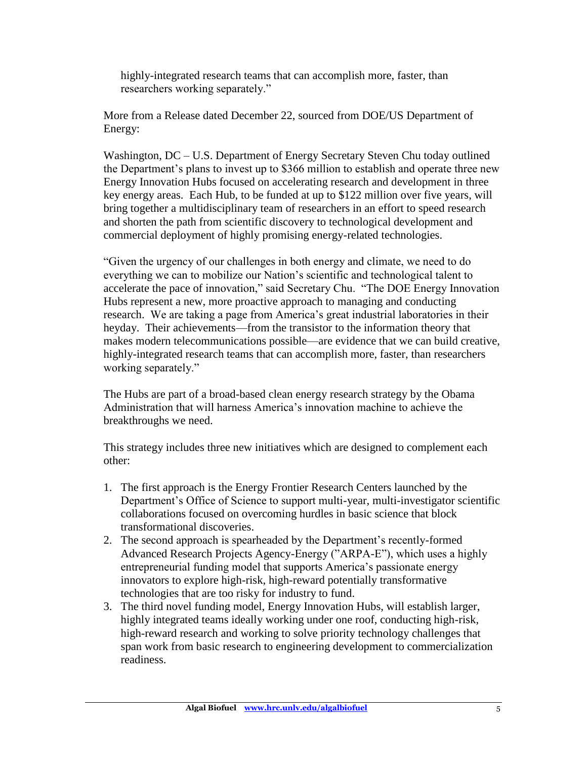highly-integrated research teams that can accomplish more, faster, than researchers working separately."

More from a Release dated December 22, sourced from DOE/US Department of Energy:

Washington, DC – U.S. Department of Energy Secretary Steven Chu today outlined the Department's plans to invest up to \$366 million to establish and operate three new Energy Innovation Hubs focused on accelerating research and development in three key energy areas. Each Hub, to be funded at up to \$122 million over five years, will bring together a multidisciplinary team of researchers in an effort to speed research and shorten the path from scientific discovery to technological development and commercial deployment of highly promising energy-related technologies.

"Given the urgency of our challenges in both energy and climate, we need to do everything we can to mobilize our Nation's scientific and technological talent to accelerate the pace of innovation," said Secretary Chu. "The DOE Energy Innovation Hubs represent a new, more proactive approach to managing and conducting research. We are taking a page from America's great industrial laboratories in their heyday. Their achievements—from the transistor to the information theory that makes modern telecommunications possible—are evidence that we can build creative, highly-integrated research teams that can accomplish more, faster, than researchers working separately."

The Hubs are part of a broad-based clean energy research strategy by the Obama Administration that will harness America's innovation machine to achieve the breakthroughs we need.

This strategy includes three new initiatives which are designed to complement each other:

- 1. The first approach is the Energy Frontier Research Centers launched by the Department's Office of Science to support multi-year, multi-investigator scientific collaborations focused on overcoming hurdles in basic science that block transformational discoveries.
- 2. The second approach is spearheaded by the Department's recently-formed Advanced Research Projects Agency-Energy ("ARPA-E"), which uses a highly entrepreneurial funding model that supports America's passionate energy innovators to explore high-risk, high-reward potentially transformative technologies that are too risky for industry to fund.
- 3. The third novel funding model, Energy Innovation Hubs, will establish larger, highly integrated teams ideally working under one roof, conducting high-risk, high-reward research and working to solve priority technology challenges that span work from basic research to engineering development to commercialization readiness.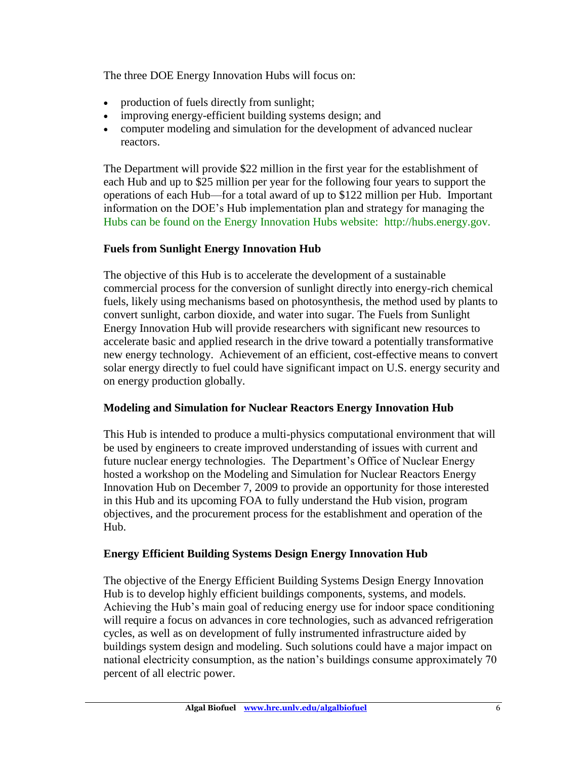The three DOE Energy Innovation Hubs will focus on:

- production of fuels directly from sunlight;
- improving energy-efficient building systems design; and
- computer modeling and simulation for the development of advanced nuclear reactors.

The Department will provide \$22 million in the first year for the establishment of each Hub and up to \$25 million per year for the following four years to support the operations of each Hub—for a total award of up to \$122 million per Hub. Important information on the DOE's Hub implementation plan and strategy for managing the Hubs can be found on the Energy Innovation Hubs website: http://hubs.energy.gov.

#### **Fuels from Sunlight Energy Innovation Hub**

The objective of this Hub is to accelerate the development of a sustainable commercial process for the conversion of sunlight directly into energy-rich chemical fuels, likely using mechanisms based on photosynthesis, the method used by plants to convert sunlight, carbon dioxide, and water into sugar. The Fuels from Sunlight Energy Innovation Hub will provide researchers with significant new resources to accelerate basic and applied research in the drive toward a potentially transformative new energy technology. Achievement of an efficient, cost-effective means to convert solar energy directly to fuel could have significant impact on U.S. energy security and on energy production globally.

#### **Modeling and Simulation for Nuclear Reactors Energy Innovation Hub**

This Hub is intended to produce a multi-physics computational environment that will be used by engineers to create improved understanding of issues with current and future nuclear energy technologies. The Department's Office of Nuclear Energy hosted a workshop on the Modeling and Simulation for Nuclear Reactors Energy Innovation Hub on December 7, 2009 to provide an opportunity for those interested in this Hub and its upcoming FOA to fully understand the Hub vision, program objectives, and the procurement process for the establishment and operation of the Hub.

#### **Energy Efficient Building Systems Design Energy Innovation Hub**

The objective of the Energy Efficient Building Systems Design Energy Innovation Hub is to develop highly efficient buildings components, systems, and models. Achieving the Hub's main goal of reducing energy use for indoor space conditioning will require a focus on advances in core technologies, such as advanced refrigeration cycles, as well as on development of fully instrumented infrastructure aided by buildings system design and modeling. Such solutions could have a major impact on national electricity consumption, as the nation's buildings consume approximately 70 percent of all electric power.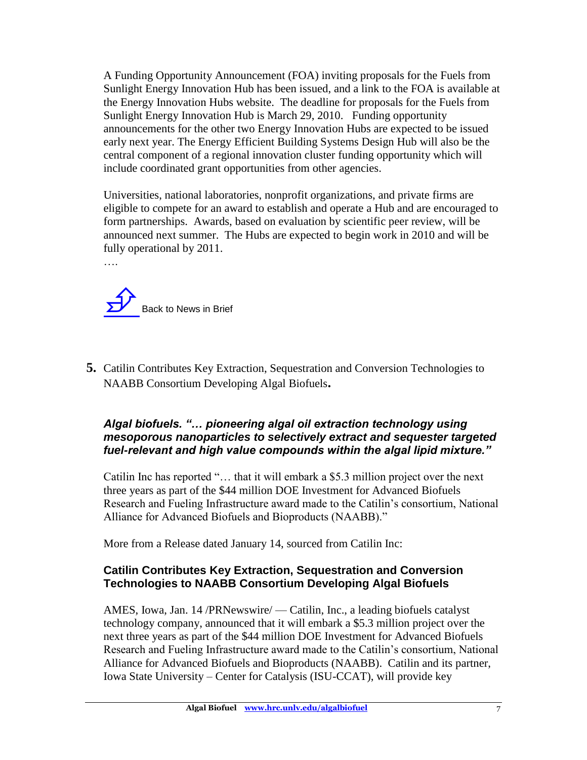A Funding Opportunity Announcement (FOA) inviting proposals for the Fuels from Sunlight Energy Innovation Hub has been issued, and a link to the FOA is available at the Energy Innovation Hubs website. The deadline for proposals for the Fuels from Sunlight Energy Innovation Hub is March 29, 2010. Funding opportunity announcements for the other two Energy Innovation Hubs are expected to be issued early next year. The Energy Efficient Building Systems Design Hub will also be the central component of a regional innovation cluster funding opportunity which will include coordinated grant opportunities from other agencies.

Universities, national laboratories, nonprofit organizations, and private firms are eligible to compete for an award to establish and operate a Hub and are encouraged to form partnerships. Awards, based on evaluation by scientific peer review, will be announced next summer. The Hubs are expected to begin work in 2010 and will be fully operational by 2011.



….

<span id="page-7-0"></span>**5.** Catilin Contributes Key Extraction, Sequestration and Conversion Technologies to NAABB Consortium Developing Algal Biofuels**.** 

#### *Algal biofuels. "… pioneering algal oil extraction technology using mesoporous nanoparticles to selectively extract and sequester targeted fuel-relevant and high value compounds within the algal lipid mixture."*

Catilin Inc has reported "… that it will embark a \$5.3 million project over the next three years as part of the \$44 million DOE Investment for Advanced Biofuels Research and Fueling Infrastructure award made to the Catilin's consortium, National Alliance for Advanced Biofuels and Bioproducts (NAABB)."

More from a Release dated January 14, sourced from Catilin Inc:

#### **Catilin Contributes Key Extraction, Sequestration and Conversion Technologies to NAABB Consortium Developing Algal Biofuels**

AMES, Iowa, Jan. 14 /PRNewswire/ — Catilin, Inc., a leading biofuels catalyst technology company, announced that it will embark a \$5.3 million project over the next three years as part of the \$44 million DOE Investment for Advanced Biofuels Research and Fueling Infrastructure award made to the Catilin's consortium, National Alliance for Advanced Biofuels and Bioproducts (NAABB). Catilin and its partner, Iowa State University – Center for Catalysis (ISU-CCAT), will provide key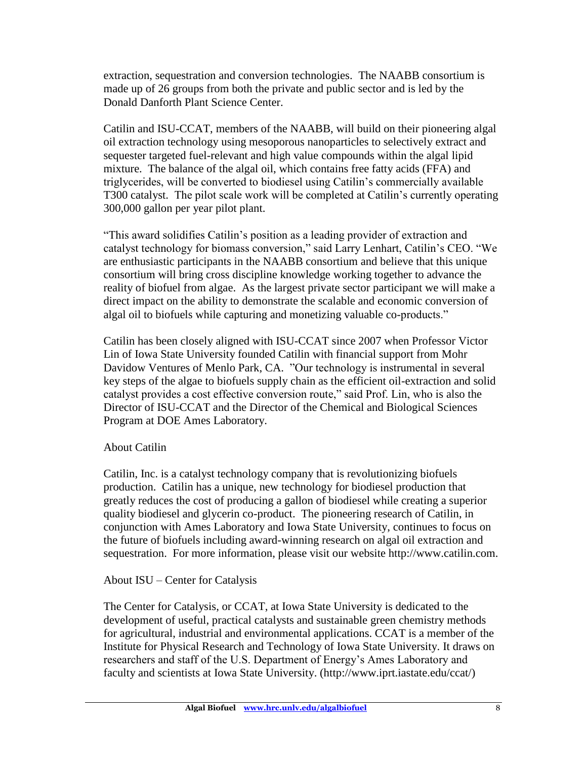extraction, sequestration and conversion technologies. The NAABB consortium is made up of 26 groups from both the private and public sector and is led by the Donald Danforth Plant Science Center.

Catilin and ISU-CCAT, members of the NAABB, will build on their pioneering algal oil extraction technology using mesoporous nanoparticles to selectively extract and sequester targeted fuel-relevant and high value compounds within the algal lipid mixture. The balance of the algal oil, which contains free fatty acids (FFA) and triglycerides, will be converted to biodiesel using Catilin's commercially available T300 catalyst. The pilot scale work will be completed at Catilin's currently operating 300,000 gallon per year pilot plant.

"This award solidifies Catilin's position as a leading provider of extraction and catalyst technology for biomass conversion," said Larry Lenhart, Catilin's CEO. "We are enthusiastic participants in the NAABB consortium and believe that this unique consortium will bring cross discipline knowledge working together to advance the reality of biofuel from algae. As the largest private sector participant we will make a direct impact on the ability to demonstrate the scalable and economic conversion of algal oil to biofuels while capturing and monetizing valuable co-products."

Catilin has been closely aligned with ISU-CCAT since 2007 when Professor Victor Lin of Iowa State University founded Catilin with financial support from Mohr Davidow Ventures of Menlo Park, CA. "Our technology is instrumental in several key steps of the algae to biofuels supply chain as the efficient oil-extraction and solid catalyst provides a cost effective conversion route," said Prof. Lin, who is also the Director of ISU-CCAT and the Director of the Chemical and Biological Sciences Program at DOE Ames Laboratory.

#### About Catilin

Catilin, Inc. is a catalyst technology company that is revolutionizing biofuels production. Catilin has a unique, new technology for biodiesel production that greatly reduces the cost of producing a gallon of biodiesel while creating a superior quality biodiesel and glycerin co-product. The pioneering research of Catilin, in conjunction with Ames Laboratory and Iowa State University, continues to focus on the future of biofuels including award-winning research on algal oil extraction and sequestration. For more information, please visit our website http://www.catilin.com.

#### About ISU – Center for Catalysis

The Center for Catalysis, or CCAT, at Iowa State University is dedicated to the development of useful, practical catalysts and sustainable green chemistry methods for agricultural, industrial and environmental applications. CCAT is a member of the Institute for Physical Research and Technology of Iowa State University. It draws on researchers and staff of the U.S. Department of Energy's Ames Laboratory and faculty and scientists at Iowa State University. (http://www.iprt.iastate.edu/ccat/)